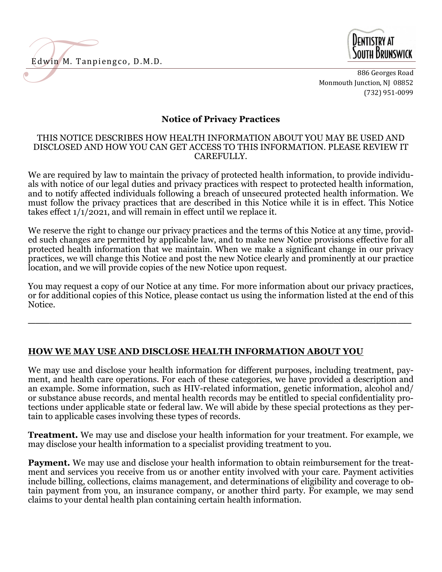Edwin M. Tanpiengco, D.M.D.



886 Georges Road Monmouth Junction, NJ 08852 (732) 951-0099

#### **Notice of Privacy Practices**

#### THIS NOTICE DESCRIBES HOW HEALTH INFORMATION ABOUT YOU MAY BE USED AND DISCLOSED AND HOW YOU CAN GET ACCESS TO THIS INFORMATION. PLEASE REVIEW IT CAREFULLY.

We are required by law to maintain the privacy of protected health information, to provide individuals with notice of our legal duties and privacy practices with respect to protected health information, and to notify affected individuals following a breach of unsecured protected health information. We must follow the privacy practices that are described in this Notice while it is in effect. This Notice takes effect 1/1/2021, and will remain in effect until we replace it.

We reserve the right to change our privacy practices and the terms of this Notice at any time, provided such changes are permitted by applicable law, and to make new Notice provisions effective for all protected health information that we maintain. When we make a significant change in our privacy practices, we will change this Notice and post the new Notice clearly and prominently at our practice location, and we will provide copies of the new Notice upon request.

You may request a copy of our Notice at any time. For more information about our privacy practices, or for additional copies of this Notice, please contact us using the information listed at the end of this Notice.

**\_\_\_\_\_\_\_\_\_\_\_\_\_\_\_\_\_\_\_\_\_\_\_\_\_\_\_\_\_\_\_\_\_\_\_\_\_\_\_\_\_\_\_\_\_\_\_\_\_\_\_\_\_\_** 

## **HOW WE MAY USE AND DISCLOSE HEALTH INFORMATION ABOUT YOU**

We may use and disclose your health information for different purposes, including treatment, payment, and health care operations. For each of these categories, we have provided a description and an example. Some information, such as HIV-related information, genetic information, alcohol and/ or substance abuse records, and mental health records may be entitled to special confidentiality protections under applicable state or federal law. We will abide by these special protections as they pertain to applicable cases involving these types of records.

**Treatment.** We may use and disclose your health information for your treatment. For example, we may disclose your health information to a specialist providing treatment to you.

**Payment.** We may use and disclose your health information to obtain reimbursement for the treatment and services you receive from us or another entity involved with your care. Payment activities include billing, collections, claims management, and determinations of eligibility and coverage to obtain payment from you, an insurance company, or another third party. For example, we may send claims to your dental health plan containing certain health information.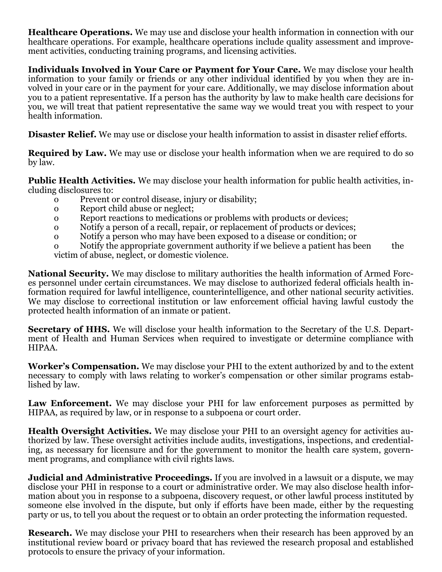**Healthcare Operations.** We may use and disclose your health information in connection with our healthcare operations. For example, healthcare operations include quality assessment and improvement activities, conducting training programs, and licensing activities.

**Individuals Involved in Your Care or Payment for Your Care.** We may disclose your health information to your family or friends or any other individual identified by you when they are involved in your care or in the payment for your care. Additionally, we may disclose information about you to a patient representative. If a person has the authority by law to make health care decisions for you, we will treat that patient representative the same way we would treat you with respect to your health information.

**Disaster Relief.** We may use or disclose your health information to assist in disaster relief efforts.

**Required by Law.** We may use or disclose your health information when we are required to do so by law.

**Public Health Activities.** We may disclose your health information for public health activities, including disclosures to:

- o Prevent or control disease, injury or disability;
- o Report child abuse or neglect;
- o Report reactions to medications or problems with products or devices;
- o Notify a person of a recall, repair, or replacement of products or devices;
- o Notify a person who may have been exposed to a disease or condition; or

o Notify the appropriate government authority if we believe a patient has been the victim of abuse, neglect, or domestic violence.

**National Security.** We may disclose to military authorities the health information of Armed Forces personnel under certain circumstances. We may disclose to authorized federal officials health information required for lawful intelligence, counterintelligence, and other national security activities. We may disclose to correctional institution or law enforcement official having lawful custody the protected health information of an inmate or patient.

**Secretary of HHS.** We will disclose your health information to the Secretary of the U.S. Department of Health and Human Services when required to investigate or determine compliance with HIPAA.

**Worker's Compensation.** We may disclose your PHI to the extent authorized by and to the extent necessary to comply with laws relating to worker's compensation or other similar programs established by law.

**Law Enforcement.** We may disclose your PHI for law enforcement purposes as permitted by HIPAA, as required by law, or in response to a subpoena or court order.

**Health Oversight Activities.** We may disclose your PHI to an oversight agency for activities authorized by law. These oversight activities include audits, investigations, inspections, and credentialing, as necessary for licensure and for the government to monitor the health care system, government programs, and compliance with civil rights laws.

**Judicial and Administrative Proceedings.** If you are involved in a lawsuit or a dispute, we may disclose your PHI in response to a court or administrative order. We may also disclose health information about you in response to a subpoena, discovery request, or other lawful process instituted by someone else involved in the dispute, but only if efforts have been made, either by the requesting party or us, to tell you about the request or to obtain an order protecting the information requested.

**Research.** We may disclose your PHI to researchers when their research has been approved by an institutional review board or privacy board that has reviewed the research proposal and established protocols to ensure the privacy of your information.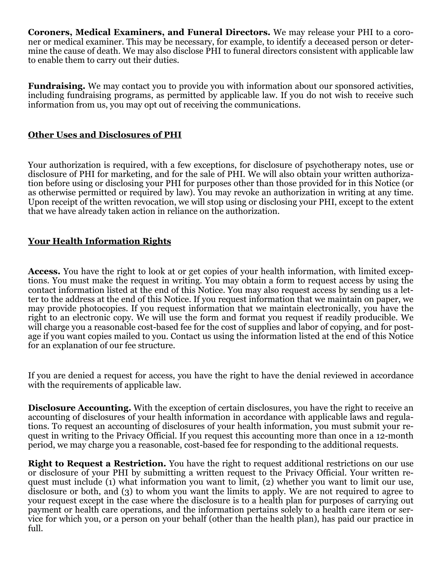**Coroners, Medical Examiners, and Funeral Directors.** We may release your PHI to a coroner or medical examiner. This may be necessary, for example, to identify a deceased person or determine the cause of death. We may also disclose PHI to funeral directors consistent with applicable law to enable them to carry out their duties.

**Fundraising.** We may contact you to provide you with information about our sponsored activities, including fundraising programs, as permitted by applicable law. If you do not wish to receive such information from us, you may opt out of receiving the communications.

### **Other Uses and Disclosures of PHI**

Your authorization is required, with a few exceptions, for disclosure of psychotherapy notes, use or disclosure of PHI for marketing, and for the sale of PHI. We will also obtain your written authorization before using or disclosing your PHI for purposes other than those provided for in this Notice (or as otherwise permitted or required by law). You may revoke an authorization in writing at any time. Upon receipt of the written revocation, we will stop using or disclosing your PHI, except to the extent that we have already taken action in reliance on the authorization.

### **Your Health Information Rights**

**Access.** You have the right to look at or get copies of your health information, with limited exceptions. You must make the request in writing. You may obtain a form to request access by using the contact information listed at the end of this Notice. You may also request access by sending us a letter to the address at the end of this Notice. If you request information that we maintain on paper, we may provide photocopies. If you request information that we maintain electronically, you have the right to an electronic copy. We will use the form and format you request if readily producible. We will charge you a reasonable cost-based fee for the cost of supplies and labor of copying, and for postage if you want copies mailed to you. Contact us using the information listed at the end of this Notice for an explanation of our fee structure.

If you are denied a request for access, you have the right to have the denial reviewed in accordance with the requirements of applicable law.

**Disclosure Accounting.** With the exception of certain disclosures, you have the right to receive an accounting of disclosures of your health information in accordance with applicable laws and regulations. To request an accounting of disclosures of your health information, you must submit your request in writing to the Privacy Official. If you request this accounting more than once in a 12-month period, we may charge you a reasonable, cost-based fee for responding to the additional requests.

**Right to Request a Restriction.** You have the right to request additional restrictions on our use or disclosure of your PHI by submitting a written request to the Privacy Official. Your written request must include (1) what information you want to limit, (2) whether you want to limit our use, disclosure or both, and (3) to whom you want the limits to apply. We are not required to agree to your request except in the case where the disclosure is to a health plan for purposes of carrying out payment or health care operations, and the information pertains solely to a health care item or service for which you, or a person on your behalf (other than the health plan), has paid our practice in full.